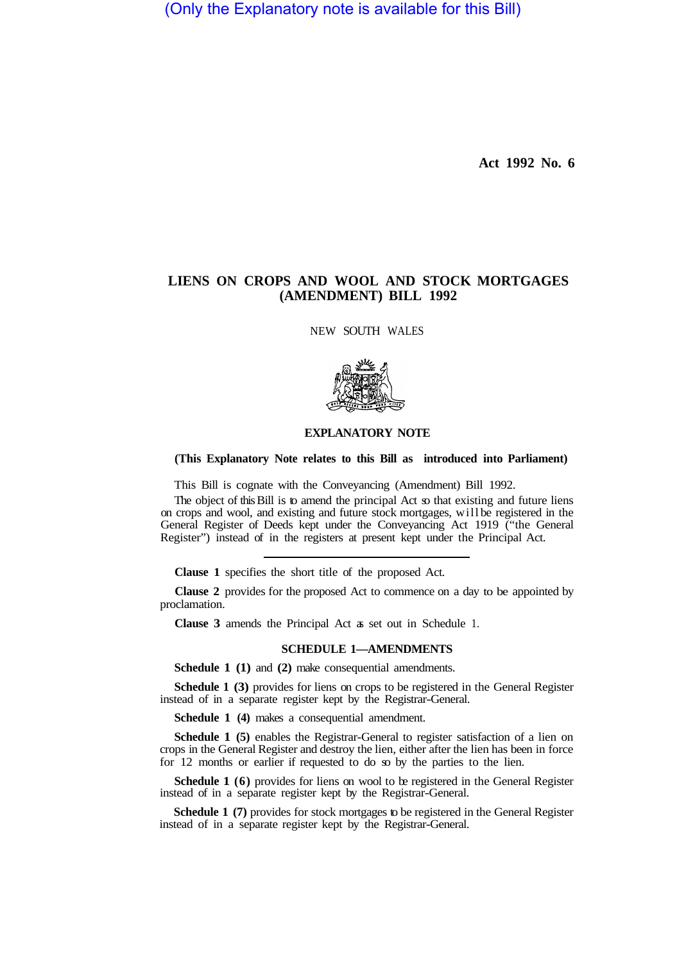(Only the Explanatory note is available for this Bill)

**Act 1992 No. 6** 

## **LIENS ON CROPS AND WOOL AND STOCK MORTGAGES (AMENDMENT) BILL 1992**

NEW SOUTH WALES



## **EXPLANATORY NOTE**

## **(This Explanatory Note relates to this Bill as introduced into Parliament)**

This Bill is cognate with the Conveyancing (Amendment) Bill 1992.

The object of this Bill is to amend the principal Act so that existing and future liens on crops and wool, and existing and future stock mortgages, will be registered in the General Register of Deeds kept under the Conveyancing Act 1919 ("the General Register") instead of in the registers at present kept under the Principal Act.

**Clause 1** specifies the short title of the proposed Act.

**Clause 2** provides for the proposed Act to commence on a day to be appointed by proclamation.

**Clause 3** amends the Principal Act as set out in Schedule 1.

## **SCHEDULE 1—AMENDMENTS**

**Schedule 1 (1)** and **(2)** make consequential amendments.

**Schedule 1 (3)** provides for liens on crops to be registered in the General Register instead of in a separate register kept by the Registrar-General.

**Schedule 1 (4)** makes a consequential amendment.

**Schedule 1 (5)** enables the Registrar-General to register satisfaction of a lien on crops in the General Register and destroy the lien, either after the lien has been in force for 12 months or earlier if requested to do so by the parties to the lien.

**Schedule 1 (6)** provides for liens on wool to be registered in the General Register instead of in a separate register kept by the Registrar-General.

**Schedule 1 (7)** provides for stock mortgages to be registered in the General Register instead of in a separate register kept by the Registrar-General.